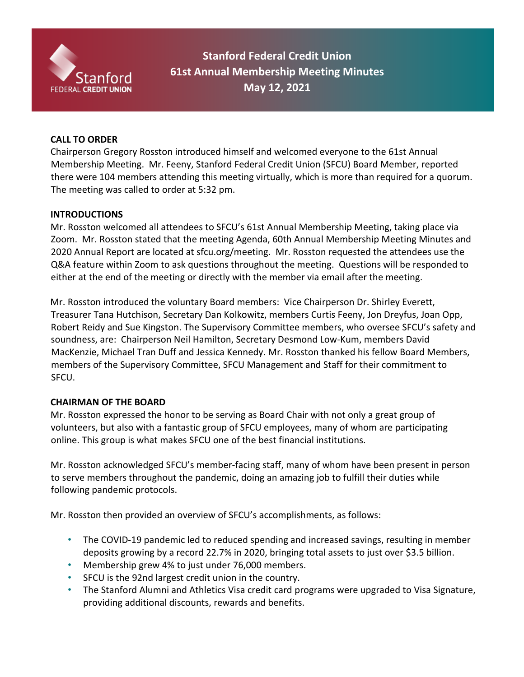

**Stanford Federal Credit Union 61st Annual Membership Meeting Minutes May 12, 2021** 

### **CALL TO ORDER**

Chairperson Gregory Rosston introduced himself and welcomed everyone to the 61st Annual Membership Meeting. Mr. Feeny, Stanford Federal Credit Union (SFCU) Board Member, reported there were 104 members attending this meeting virtually, which is more than required for a quorum. The meeting was called to order at 5:32 pm.

#### **INTRODUCTIONS**

Mr. Rosston welcomed all attendees to SFCU's 61st Annual Membership Meeting, taking place via Zoom. Mr. Rosston stated that the meeting Agenda, 60th Annual Membership Meeting Minutes and 2020 Annual Report are located at sfcu.org/meeting. Mr. Rosston requested the attendees use the Q&A feature within Zoom to ask questions throughout the meeting. Questions will be responded to either at the end of the meeting or directly with the member via email after the meeting.

Mr. Rosston introduced the voluntary Board members: Vice Chairperson Dr. Shirley Everett, Treasurer Tana Hutchison, Secretary Dan Kolkowitz, members Curtis Feeny, Jon Dreyfus, Joan Opp, Robert Reidy and Sue Kingston. The Supervisory Committee members, who oversee SFCU's safety and soundness, are: Chairperson Neil Hamilton, Secretary Desmond Low-Kum, members David MacKenzie, Michael Tran Duff and Jessica Kennedy. Mr. Rosston thanked his fellow Board Members, members of the Supervisory Committee, SFCU Management and Staff for their commitment to SFCU.

#### **CHAIRMAN OF THE BOARD**

Mr. Rosston expressed the honor to be serving as Board Chair with not only a great group of volunteers, but also with a fantastic group of SFCU employees, many of whom are participating online. This group is what makes SFCU one of the best financial institutions.

Mr. Rosston acknowledged SFCU's member-facing staff, many of whom have been present in person to serve members throughout the pandemic, doing an amazing job to fulfill their duties while following pandemic protocols.

Mr. Rosston then provided an overview of SFCU's accomplishments, as follows:

- The COVID-19 pandemic led to reduced spending and increased savings, resulting in member deposits growing by a record 22.7% in 2020, bringing total assets to just over \$3.5 billion.
- Membership grew 4% to just under 76,000 members.
- SFCU is the 92nd largest credit union in the country.
- The Stanford Alumni and Athletics Visa credit card programs were upgraded to Visa Signature, providing additional discounts, rewards and benefits.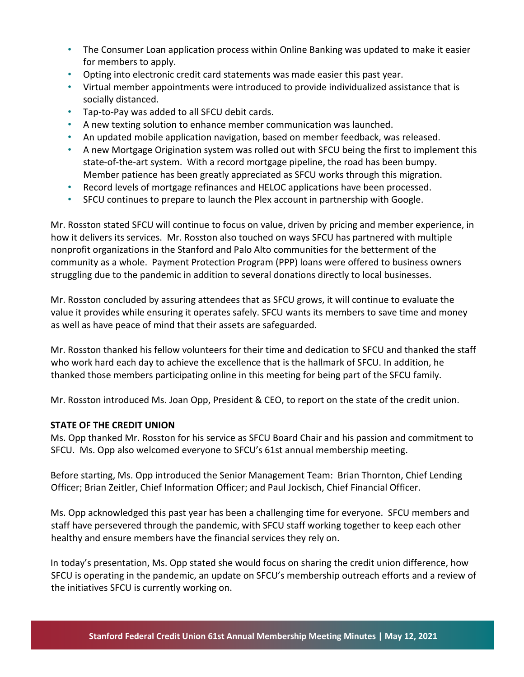- The Consumer Loan application process within Online Banking was updated to make it easier for members to apply.
- Opting into electronic credit card statements was made easier this past year.
- Virtual member appointments were introduced to provide individualized assistance that is socially distanced.
- Tap-to-Pay was added to all SFCU debit cards.
- A new texting solution to enhance member communication was launched.
- An updated mobile application navigation, based on member feedback, was released.
- A new Mortgage Origination system was rolled out with SFCU being the first to implement this state-of-the-art system. With a record mortgage pipeline, the road has been bumpy. Member patience has been greatly appreciated as SFCU works through this migration.
- Record levels of mortgage refinances and HELOC applications have been processed.
- SFCU continues to prepare to launch the Plex account in partnership with Google.

Mr. Rosston stated SFCU will continue to focus on value, driven by pricing and member experience, in how it delivers its services. Mr. Rosston also touched on ways SFCU has partnered with multiple nonprofit organizations in the Stanford and Palo Alto communities for the betterment of the community as a whole. Payment Protection Program (PPP) loans were offered to business owners struggling due to the pandemic in addition to several donations directly to local businesses.

Mr. Rosston concluded by assuring attendees that as SFCU grows, it will continue to evaluate the value it provides while ensuring it operates safely. SFCU wants its members to save time and money as well as have peace of mind that their assets are safeguarded.

Mr. Rosston thanked his fellow volunteers for their time and dedication to SFCU and thanked the staff who work hard each day to achieve the excellence that is the hallmark of SFCU. In addition, he thanked those members participating online in this meeting for being part of the SFCU family.

Mr. Rosston introduced Ms. Joan Opp, President & CEO, to report on the state of the credit union.

## **STATE OF THE CREDIT UNION**

Ms. Opp thanked Mr. Rosston for his service as SFCU Board Chair and his passion and commitment to SFCU. Ms. Opp also welcomed everyone to SFCU's 61st annual membership meeting.

Before starting, Ms. Opp introduced the Senior Management Team: Brian Thornton, Chief Lending Officer; Brian Zeitler, Chief Information Officer; and Paul Jockisch, Chief Financial Officer.

Ms. Opp acknowledged this past year has been a challenging time for everyone. SFCU members and staff have persevered through the pandemic, with SFCU staff working together to keep each other healthy and ensure members have the financial services they rely on.

In today's presentation, Ms. Opp stated she would focus on sharing the credit union difference, how SFCU is operating in the pandemic, an update on SFCU's membership outreach efforts and a review of the initiatives SFCU is currently working on.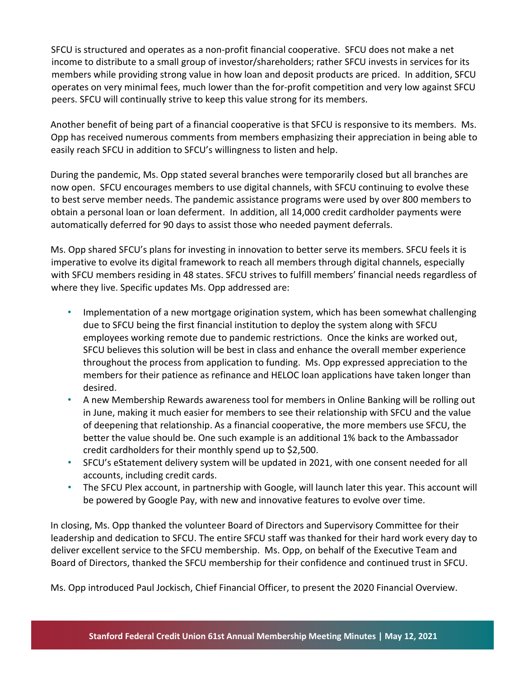SFCU is structured and operates as a non-profit financial cooperative. SFCU does not make a net income to distribute to a small group of investor/shareholders; rather SFCU invests in services for its members while providing strong value in how loan and deposit products are priced. In addition, SFCU operates on very minimal fees, much lower than the for-profit competition and very low against SFCU peers. SFCU will continually strive to keep this value strong for its members.

Another benefit of being part of a financial cooperative is that SFCU is responsive to its members. Ms. Opp has received numerous comments from members emphasizing their appreciation in being able to easily reach SFCU in addition to SFCU's willingness to listen and help.

During the pandemic, Ms. Opp stated several branches were temporarily closed but all branches are now open. SFCU encourages members to use digital channels, with SFCU continuing to evolve these to best serve member needs. The pandemic assistance programs were used by over 800 members to obtain a personal loan or loan deferment. In addition, all 14,000 credit cardholder payments were automatically deferred for 90 days to assist those who needed payment deferrals.

Ms. Opp shared SFCU's plans for investing in innovation to better serve its members. SFCU feels it is imperative to evolve its digital framework to reach all members through digital channels, especially with SFCU members residing in 48 states. SFCU strives to fulfill members' financial needs regardless of where they live. Specific updates Ms. Opp addressed are:

- Implementation of a new mortgage origination system, which has been somewhat challenging due to SFCU being the first financial institution to deploy the system along with SFCU employees working remote due to pandemic restrictions. Once the kinks are worked out, SFCU believes this solution will be best in class and enhance the overall member experience throughout the process from application to funding. Ms. Opp expressed appreciation to the members for their patience as refinance and HELOC loan applications have taken longer than desired.
- A new Membership Rewards awareness tool for members in Online Banking will be rolling out in June, making it much easier for members to see their relationship with SFCU and the value of deepening that relationship. As a financial cooperative, the more members use SFCU, the better the value should be. One such example is an additional 1% back to the Ambassador credit cardholders for their monthly spend up to \$2,500.
- SFCU's eStatement delivery system will be updated in 2021, with one consent needed for all accounts, including credit cards.
- The SFCU Plex account, in partnership with Google, will launch later this year. This account will be powered by Google Pay, with new and innovative features to evolve over time.

In closing, Ms. Opp thanked the volunteer Board of Directors and Supervisory Committee for their leadership and dedication to SFCU. The entire SFCU staff was thanked for their hard work every day to deliver excellent service to the SFCU membership. Ms. Opp, on behalf of the Executive Team and Board of Directors, thanked the SFCU membership for their confidence and continued trust in SFCU.

Ms. Opp introduced Paul Jockisch, Chief Financial Officer, to present the 2020 Financial Overview.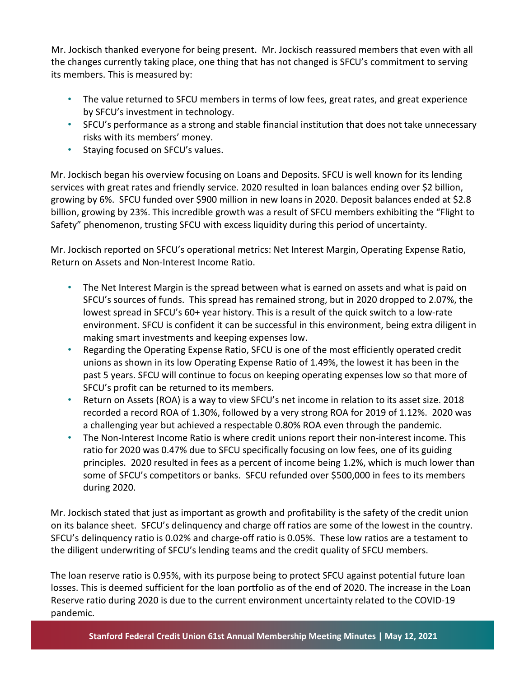Mr. Jockisch thanked everyone for being present. Mr. Jockisch reassured members that even with all the changes currently taking place, one thing that has not changed is SFCU's commitment to serving its members. This is measured by:

- The value returned to SFCU members in terms of low fees, great rates, and great experience by SFCU's investment in technology.
- SFCU's performance as a strong and stable financial institution that does not take unnecessary risks with its members' money.
- Staying focused on SFCU's values.

Mr. Jockisch began his overview focusing on Loans and Deposits. SFCU is well known for its lending services with great rates and friendly service. 2020 resulted in loan balances ending over \$2 billion, growing by 6%. SFCU funded over \$900 million in new loans in 2020. Deposit balances ended at \$2.8 billion, growing by 23%. This incredible growth was a result of SFCU members exhibiting the "Flight to Safety" phenomenon, trusting SFCU with excess liquidity during this period of uncertainty.

Mr. Jockisch reported on SFCU's operational metrics: Net Interest Margin, Operating Expense Ratio, Return on Assets and Non-Interest Income Ratio.

- The Net Interest Margin is the spread between what is earned on assets and what is paid on SFCU's sources of funds. This spread has remained strong, but in 2020 dropped to 2.07%, the lowest spread in SFCU's 60+ year history. This is a result of the quick switch to a low-rate environment. SFCU is confident it can be successful in this environment, being extra diligent in making smart investments and keeping expenses low.
- Regarding the Operating Expense Ratio, SFCU is one of the most efficiently operated credit unions as shown in its low Operating Expense Ratio of 1.49%, the lowest it has been in the past 5 years. SFCU will continue to focus on keeping operating expenses low so that more of SFCU's profit can be returned to its members.
- Return on Assets (ROA) is a way to view SFCU's net income in relation to its asset size. 2018 recorded a record ROA of 1.30%, followed by a very strong ROA for 2019 of 1.12%. 2020 was a challenging year but achieved a respectable 0.80% ROA even through the pandemic.
- The Non-Interest Income Ratio is where credit unions report their non-interest income. This ratio for 2020 was 0.47% due to SFCU specifically focusing on low fees, one of its guiding principles. 2020 resulted in fees as a percent of income being 1.2%, which is much lower than some of SFCU's competitors or banks. SFCU refunded over \$500,000 in fees to its members during 2020.

Mr. Jockisch stated that just as important as growth and profitability is the safety of the credit union on its balance sheet. SFCU's delinquency and charge off ratios are some of the lowest in the country. SFCU's delinquency ratio is 0.02% and charge-off ratio is 0.05%. These low ratios are a testament to the diligent underwriting of SFCU's lending teams and the credit quality of SFCU members.

The loan reserve ratio is 0.95%, with its purpose being to protect SFCU against potential future loan losses. This is deemed sufficient for the loan portfolio as of the end of 2020. The increase in the Loan Reserve ratio during 2020 is due to the current environment uncertainty related to the COVID-19 pandemic.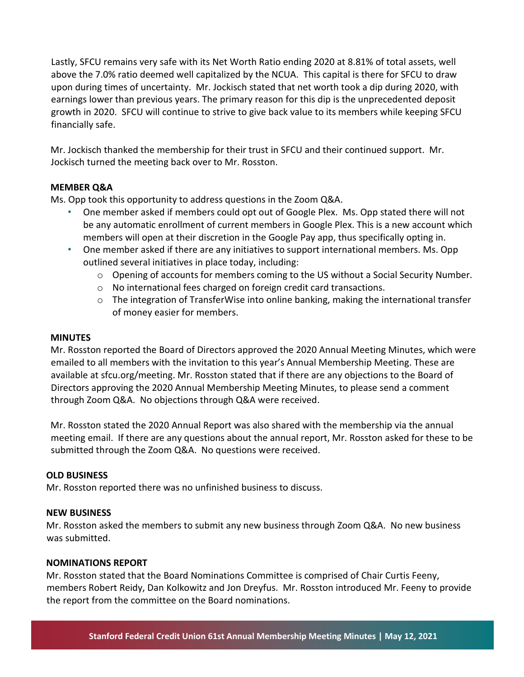Lastly, SFCU remains very safe with its Net Worth Ratio ending 2020 at 8.81% of total assets, well above the 7.0% ratio deemed well capitalized by the NCUA. This capital is there for SFCU to draw upon during times of uncertainty. Mr. Jockisch stated that net worth took a dip during 2020, with earnings lower than previous years. The primary reason for this dip is the unprecedented deposit growth in 2020. SFCU will continue to strive to give back value to its members while keeping SFCU financially safe.

Mr. Jockisch thanked the membership for their trust in SFCU and their continued support. Mr. Jockisch turned the meeting back over to Mr. Rosston.

## **MEMBER Q&A**

Ms. Opp took this opportunity to address questions in the Zoom Q&A.

- One member asked if members could opt out of Google Plex. Ms. Opp stated there will not be any automatic enrollment of current members in Google Plex. This is a new account which members will open at their discretion in the Google Pay app, thus specifically opting in.
- One member asked if there are any initiatives to support international members. Ms. Opp outlined several initiatives in place today, including:
	- $\circ$  Opening of accounts for members coming to the US without a Social Security Number.
	- o No international fees charged on foreign credit card transactions.
	- $\circ$  The integration of TransferWise into online banking, making the international transfer of money easier for members.

#### **MINUTES**

Mr. Rosston reported the Board of Directors approved the 2020 Annual Meeting Minutes, which were emailed to all members with the invitation to this year's Annual Membership Meeting. These are available at sfcu.org/meeting. Mr. Rosston stated that if there are any objections to the Board of Directors approving the 2020 Annual Membership Meeting Minutes, to please send a comment through Zoom Q&A. No objections through Q&A were received.

Mr. Rosston stated the 2020 Annual Report was also shared with the membership via the annual meeting email. If there are any questions about the annual report, Mr. Rosston asked for these to be submitted through the Zoom Q&A. No questions were received.

#### **OLD BUSINESS**

Mr. Rosston reported there was no unfinished business to discuss.

#### **NEW BUSINESS**

Mr. Rosston asked the members to submit any new business through Zoom Q&A. No new business was submitted.

#### **NOMINATIONS REPORT**

Mr. Rosston stated that the Board Nominations Committee is comprised of Chair Curtis Feeny, members Robert Reidy, Dan Kolkowitz and Jon Dreyfus. Mr. Rosston introduced Mr. Feeny to provide the report from the committee on the Board nominations.